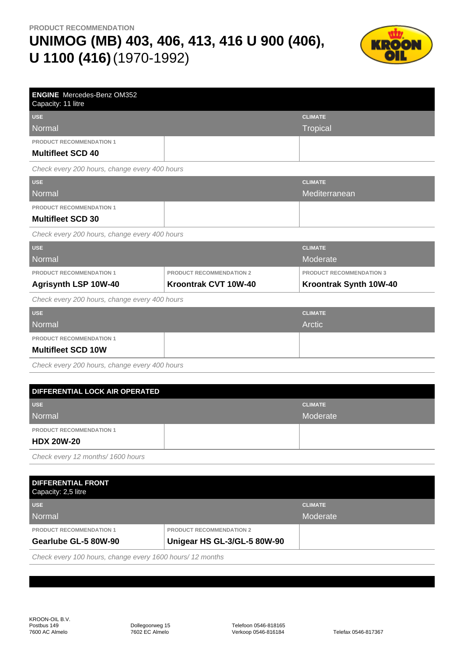

| <b>ENGINE</b> Mercedes-Benz OM352<br>Capacity: 11 litre |                                 |                                 |
|---------------------------------------------------------|---------------------------------|---------------------------------|
| <b>USE</b>                                              |                                 | <b>CLIMATE</b>                  |
| Normal                                                  |                                 | <b>Tropical</b>                 |
| <b>PRODUCT RECOMMENDATION 1</b>                         |                                 |                                 |
| <b>Multifleet SCD 40</b>                                |                                 |                                 |
| Check every 200 hours, change every 400 hours           |                                 |                                 |
| <b>USE</b>                                              |                                 | <b>CLIMATE</b>                  |
| <b>Normal</b>                                           |                                 | Mediterranean                   |
| <b>PRODUCT RECOMMENDATION 1</b>                         |                                 |                                 |
| <b>Multifleet SCD 30</b>                                |                                 |                                 |
| Check every 200 hours, change every 400 hours           |                                 |                                 |
| <b>USE</b>                                              |                                 | <b>CLIMATE</b>                  |
| Normal                                                  |                                 | Moderate                        |
| PRODUCT RECOMMENDATION 1                                | <b>PRODUCT RECOMMENDATION 2</b> | <b>PRODUCT RECOMMENDATION 3</b> |
| Agrisynth LSP 10W-40                                    | Kroontrak CVT 10W-40            | Kroontrak Synth 10W-40          |
| Check every 200 hours, change every 400 hours           |                                 |                                 |
| <b>USE</b>                                              |                                 | <b>CLIMATE</b>                  |
| <b>Normal</b>                                           |                                 | Arctic                          |
| PRODUCT RECOMMENDATION 1                                |                                 |                                 |
| <b>Multifleet SCD 10W</b>                               |                                 |                                 |
| Check every 200 hours, change every 400 hours           |                                 |                                 |
|                                                         |                                 |                                 |
| DIFFERENTIAL LOCK AIR OPERATED                          |                                 |                                 |
| <b>USE</b>                                              |                                 | <b>CLIMATE</b>                  |
| <b>Normal</b>                                           |                                 | Moderate                        |

**PRODUCT RECOMMENDATION 1**

#### **HDX 20W-20**

Check every 12 months/ 1600 hours

| <b>DIFFERENTIAL FRONT</b><br>Capacity: 2,5 litre |                                 |                |
|--------------------------------------------------|---------------------------------|----------------|
| <b>USE</b>                                       |                                 | <b>CLIMATE</b> |
| Normal                                           |                                 | Moderate       |
| <b>PRODUCT RECOMMENDATION 1</b>                  | <b>PRODUCT RECOMMENDATION 2</b> |                |
| Gearlube GL-5 80W-90                             | Unigear HS GL-3/GL-5 80W-90     |                |

Check every 100 hours, change every 1600 hours/ 12 months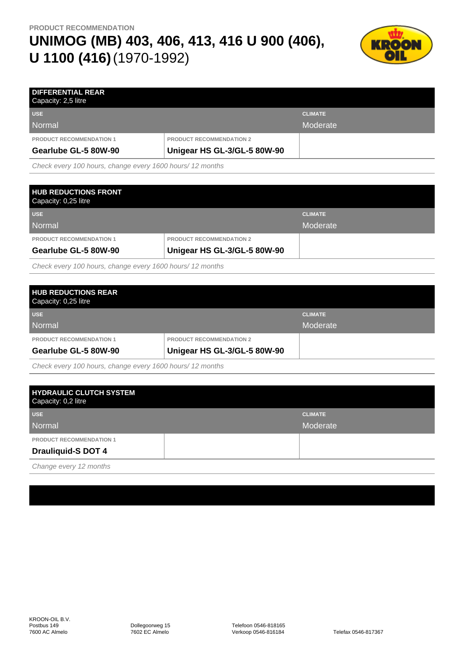

| <b>DIFFERENTIAL REAR</b><br>Capacity: 2,5 litre |                                 |                |
|-------------------------------------------------|---------------------------------|----------------|
| <b>USE</b>                                      |                                 | <b>CLIMATE</b> |
| Normal                                          |                                 | Moderate       |
| <b>PRODUCT RECOMMENDATION 1</b>                 | <b>PRODUCT RECOMMENDATION 2</b> |                |
| Gearlube GL-5 80W-90                            | Unigear HS GL-3/GL-5 80W-90     |                |

Check every 100 hours, change every 1600 hours/ 12 months

| <b>HUB REDUCTIONS FRONT</b><br>Capacity: 0,25 litre |                                 |                |
|-----------------------------------------------------|---------------------------------|----------------|
| <b>USE</b>                                          |                                 | <b>CLIMATE</b> |
| Normal                                              |                                 | Moderate       |
| <b>PRODUCT RECOMMENDATION 1</b>                     | <b>PRODUCT RECOMMENDATION 2</b> |                |
| Gearlube GL-5 80W-90                                | Unigear HS GL-3/GL-5 80W-90     |                |
|                                                     |                                 |                |

Check every 100 hours, change every 1600 hours/ 12 months

|                                 | <b>CLIMATE</b> |
|---------------------------------|----------------|
|                                 | Moderate       |
| <b>PRODUCT RECOMMENDATION 2</b> |                |
| Unigear HS GL-3/GL-5 80W-90     |                |
|                                 |                |

Check every 100 hours, change every 1600 hours/ 12 months

| <b>HYDRAULIC CLUTCH SYSTEM</b><br>Capacity: 0,2 litre |                |
|-------------------------------------------------------|----------------|
| <b>USE</b>                                            | <b>CLIMATE</b> |
| Normal                                                | Moderate       |
| <b>PRODUCT RECOMMENDATION 1</b>                       |                |
| <b>Drauliquid-S DOT 4</b>                             |                |
| ____                                                  |                |

Change every 12 months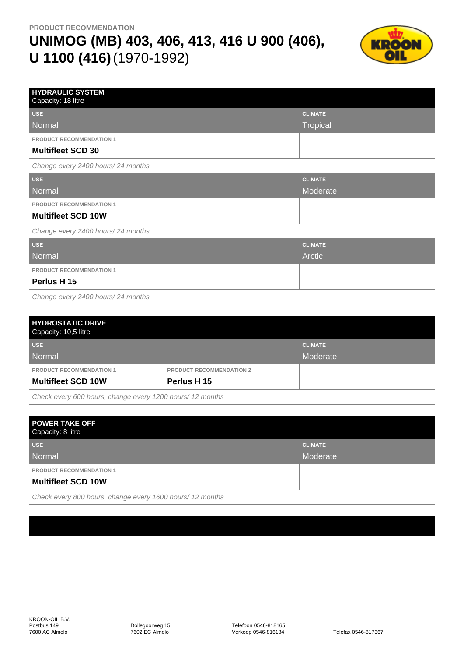

| <b>HYDRAULIC SYSTEM</b><br>Capacity: 18 litre |                |
|-----------------------------------------------|----------------|
| <b>USE</b>                                    | <b>CLIMATE</b> |
| Normal                                        | Tropical       |
| PRODUCT RECOMMENDATION 1                      |                |
| <b>Multifleet SCD 30</b>                      |                |
| Change every 2400 hours/24 months             |                |
| <b>USE</b>                                    | <b>CLIMATE</b> |
| Normal                                        | Moderate       |
| <b>PRODUCT RECOMMENDATION 1</b>               |                |
| <b>Multifleet SCD 10W</b>                     |                |
| Change every 2400 hours/24 months             |                |
| <b>USE</b>                                    | <b>CLIMATE</b> |
| <b>Normal</b>                                 | Arctic         |
| PRODUCT RECOMMENDATION 1                      |                |
| Perlus H 15                                   |                |
| Change every 2400 hours/24 months             |                |

| <b>HYDROSTATIC DRIVE</b><br>Capacity: 10,5 litre |                                 |                |
|--------------------------------------------------|---------------------------------|----------------|
| <b>USE</b>                                       |                                 | <b>CLIMATE</b> |
| Normal                                           |                                 | Moderate       |
| <b>PRODUCT RECOMMENDATION 1</b>                  | <b>PRODUCT RECOMMENDATION 2</b> |                |
| <b>Multifleet SCD 10W</b>                        | Perlus H 15                     |                |

Check every 600 hours, change every 1200 hours/ 12 months

| <b>POWER TAKE OFF</b><br>Capacity: 8 litre                                                                           |                |
|----------------------------------------------------------------------------------------------------------------------|----------------|
| <b>USE</b>                                                                                                           | <b>CLIMATE</b> |
| Normal                                                                                                               | Moderate       |
| <b>PRODUCT RECOMMENDATION 1</b>                                                                                      |                |
| <b>Multifleet SCD 10W</b>                                                                                            |                |
| $\Omega$ , $\Omega$ $\Omega$ , $\Omega$ , $\Omega$ , $\Omega$ , $\Omega$ , $\Omega$ , $\Omega$ , $\Omega$ , $\Omega$ |                |

Check every 800 hours, change every 1600 hours/ 12 months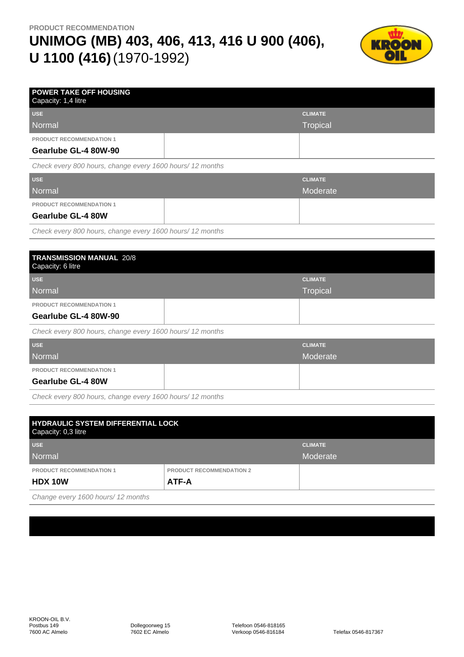

| <b>POWER TAKE OFF HOUSING</b><br>Capacity: 1,4 litre      |                 |
|-----------------------------------------------------------|-----------------|
| <b>USE</b>                                                | <b>CLIMATE</b>  |
| Normal                                                    | <b>Tropical</b> |
| <b>PRODUCT RECOMMENDATION 1</b>                           |                 |
| Gearlube GL-4 80W-90                                      |                 |
| Check every 800 hours, change every 1600 hours/ 12 months |                 |
| <b>USE</b>                                                | <b>CLIMATE</b>  |
| Normal                                                    | Moderate        |
| <b>PRODUCT RECOMMENDATION 1</b>                           |                 |
| <b>Gearlube GL-4 80W</b>                                  |                 |
| Chaokeyeau 000 hours abonne avant 1600 hours (10 months   |                 |

Check every 800 hours, change every 1600 hours/ 12 months

| <b>CLIMATE</b> |
|----------------|
| Tropical       |
|                |
|                |
|                |

Check every 800 hours, change every 1600 hours/ 12 months

| <b>USE</b>                                |            | <b>CLIMATE</b> |
|-------------------------------------------|------------|----------------|
| Normal                                    |            | Moderate       |
| <b>PRODUCT RECOMMENDATION 1</b>           |            |                |
| <b>Gearlube GL-4 80W</b>                  |            |                |
| $\sim$ $\sim$ $\sim$<br>$\bigcap_{i=1}^n$ | $\sqrt{2}$ |                |

Check every 800 hours, change every 1600 hours/ 12 months

| <b>HYDRAULIC SYSTEM DIFFERENTIAL LOCK</b><br>Capacity: 0,3 litre |                                 |                |
|------------------------------------------------------------------|---------------------------------|----------------|
| <b>USE</b>                                                       |                                 | <b>CLIMATE</b> |
| Normal                                                           |                                 | Moderate       |
| <b>PRODUCT RECOMMENDATION 1</b>                                  | <b>PRODUCT RECOMMENDATION 2</b> |                |
| ATF-A<br><b>HDX 10W</b>                                          |                                 |                |
| ____                                                             |                                 |                |

Change every 1600 hours/ 12 months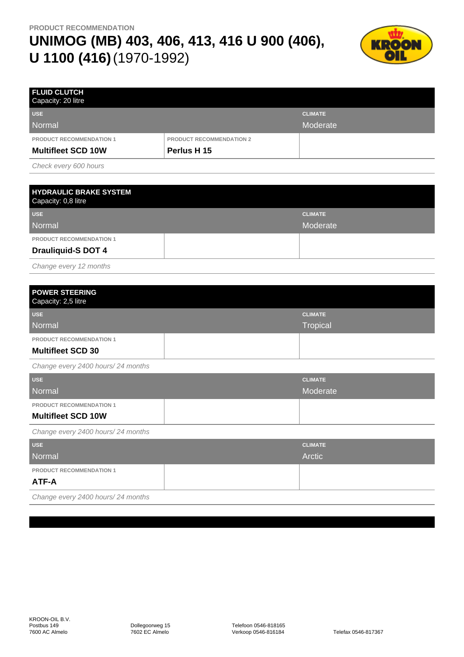

| <b>FLUID CLUTCH</b><br>Capacity: 20 litre |                                 |                |
|-------------------------------------------|---------------------------------|----------------|
| <b>USE</b>                                |                                 | <b>CLIMATE</b> |
| Normal                                    |                                 | Moderate       |
| <b>PRODUCT RECOMMENDATION 1</b>           | <b>PRODUCT RECOMMENDATION 2</b> |                |
| <b>Multifleet SCD 10W</b>                 | Perlus H 15                     |                |
|                                           |                                 |                |

Check every 600 hours

| <b>HYDRAULIC BRAKE SYSTEM</b><br>Capacity: 0,8 litre |                |
|------------------------------------------------------|----------------|
| <b>USE</b>                                           | <b>CLIMATE</b> |
| Normal                                               | Moderate       |
| <b>PRODUCT RECOMMENDATION 1</b>                      |                |
| <b>Drauliquid-S DOT 4</b>                            |                |
|                                                      |                |

Change every 12 months

| <b>POWER STEERING</b><br>Capacity: 2,5 litre |                |
|----------------------------------------------|----------------|
| <b>USE</b>                                   | <b>CLIMATE</b> |
| Normal                                       | Tropical       |
| <b>PRODUCT RECOMMENDATION 1</b>              |                |
| <b>Multifleet SCD 30</b>                     |                |

Change every 2400 hours/ 24 months

| <b>USE</b><br>Normal                                         | <b>CLIMATE</b><br>Moderate |
|--------------------------------------------------------------|----------------------------|
| <b>PRODUCT RECOMMENDATION 1</b><br><b>Multifleet SCD 10W</b> |                            |

Change every 2400 hours/ 24 months

| <b>USE</b>                        | <b>CLIMATE</b> |
|-----------------------------------|----------------|
| Normal                            | Arctic         |
| <b>PRODUCT RECOMMENDATION 1</b>   |                |
| ATF-A                             |                |
| Change every 2400 hours/24 months |                |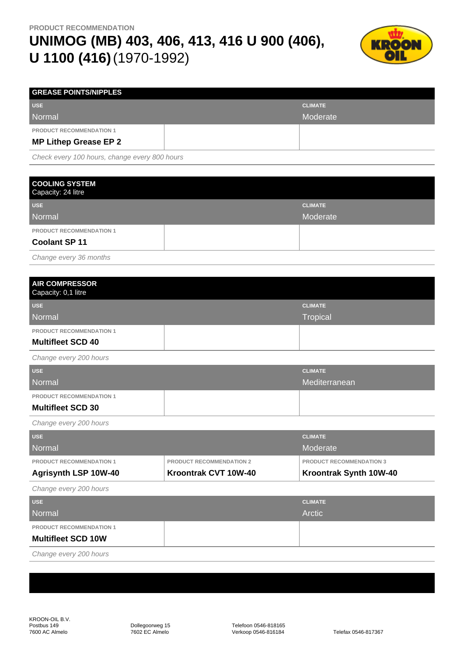

| <b>GREASE POINTS/NIPPLES</b>    |                |
|---------------------------------|----------------|
| <b>USE</b>                      | <b>CLIMATE</b> |
| Normal                          | Moderate       |
| <b>PRODUCT RECOMMENDATION 1</b> |                |
| <b>MP Lithep Grease EP 2</b>    |                |
|                                 |                |

Check every 100 hours, change every 800 hours

| <b>COOLING SYSTEM</b><br>Capacity: 24 litre |                |
|---------------------------------------------|----------------|
| <b>USE</b>                                  | <b>CLIMATE</b> |
| Normal                                      | Moderate       |
| <b>PRODUCT RECOMMENDATION 1</b>             |                |
| <b>Coolant SP 11</b>                        |                |
| Change every 36 months                      |                |

| <b>AIR COMPRESSOR</b><br>Capacity: 0,1 litre |                 |
|----------------------------------------------|-----------------|
| <b>USE</b>                                   | <b>CLIMATE</b>  |
| Normal                                       | <b>Tropical</b> |
| <b>PRODUCT RECOMMENDATION 1</b>              |                 |
| <b>Multifleet SCD 40</b>                     |                 |
| Change every 200 hours                       |                 |
| <b>USE</b>                                   | <b>CLIMATE</b>  |

| Normal                          | Mediterranean |
|---------------------------------|---------------|
| <b>PRODUCT RECOMMENDATION 1</b> |               |
| <b>Multifleet SCD 30</b>        |               |
| $\sim$ $\sim$<br>$- - - -$      |               |

Change every 200 hours

| <b>PRODUCT RECOMMENDATION 1</b><br><b>Agrisynth LSP 10W-40</b> | <b>PRODUCT RECOMMENDATION 2</b><br>Kroontrak CVT 10W-40 | <b>PRODUCT RECOMMENDATION 3</b><br>Kroontrak Synth 10W-40 |
|----------------------------------------------------------------|---------------------------------------------------------|-----------------------------------------------------------|
| <b>Normal</b>                                                  |                                                         | Moderate                                                  |
| <b>USE</b>                                                     |                                                         | <b>CLIMATE</b>                                            |

Change every 200 hours

| <b>USE</b>                      | <b>CLIMATE</b> |
|---------------------------------|----------------|
| Normal                          | Arctic         |
| <b>PRODUCT RECOMMENDATION 1</b> |                |
| <b>Multifleet SCD 10W</b>       |                |
| Change every 200 hours          |                |

KROON-OIL B.V. Postbus 149 7600 AC Almelo